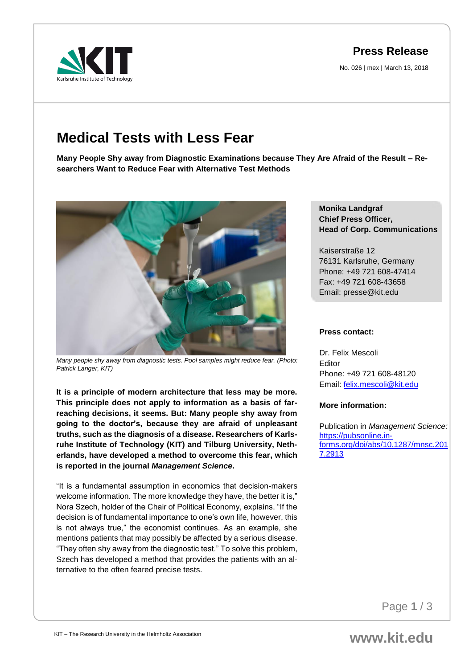## **Press Release**

No. 026 | mex | March 13, 2018

# **Medical Tests with Less Fear**

**Many People Shy away from Diagnostic Examinations because They Are Afraid of the Result – Researchers Want to Reduce Fear with Alternative Test Methods** 



*Many people shy away from diagnostic tests. Pool samples might reduce fear. (Photo: Patrick Langer, KIT)*

**It is a principle of modern architecture that less may be more. This principle does not apply to information as a basis of farreaching decisions, it seems. But: Many people shy away from going to the doctor's, because they are afraid of unpleasant truths, such as the diagnosis of a disease. Researchers of Karlsruhe Institute of Technology (KIT) and Tilburg University, Netherlands, have developed a method to overcome this fear, which is reported in the journal** *Management Science***.** 

"It is a fundamental assumption in economics that decision-makers welcome information. The more knowledge they have, the better it is," Nora Szech, holder of the Chair of Political Economy, explains. "If the decision is of fundamental importance to one's own life, however, this is not always true," the economist continues. As an example, she mentions patients that may possibly be affected by a serious disease. "They often shy away from the diagnostic test." To solve this problem, Szech has developed a method that provides the patients with an alternative to the often feared precise tests.

### **Monika Landgraf Chief Press Officer, Head of Corp. Communications**

Kaiserstraße 12 76131 Karlsruhe, Germany Phone: +49 721 608-47414 Fax: +49 721 608-43658 Email: presse@kit.edu

#### **Press contact:**

Dr. Felix Mescoli Editor Phone: +49 721 608-48120 Email: [felix.mescoli@kit.edu](mailto:felix.mescoli@kit.edu)

#### **More information:**

Publication in *Management Science:* [https://pubsonline.in](https://pubsonline.informs.org/doi/abs/10.1287/mnsc.2017.2913)[forms.org/doi/abs/10.1287/mnsc.201](https://pubsonline.informs.org/doi/abs/10.1287/mnsc.2017.2913) [7.2913](https://pubsonline.informs.org/doi/abs/10.1287/mnsc.2017.2913)

Page **1** / 3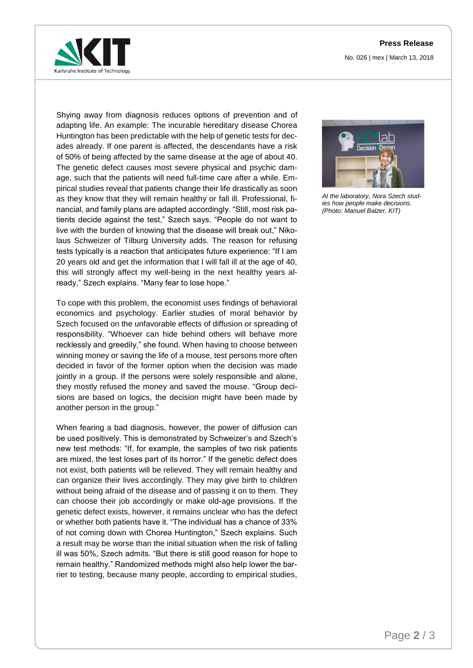

Shying away from diagnosis reduces options of prevention and of adapting life. An example: The incurable hereditary disease Chorea Huntington has been predictable with the help of genetic tests for decades already. If one parent is affected, the descendants have a risk of 50% of being affected by the same disease at the age of about 40. The genetic defect causes most severe physical and psychic damage, such that the patients will need full-time care after a while. Empirical studies reveal that patients change their life drastically as soon as they know that they will remain healthy or fall ill. Professional, financial, and family plans are adapted accordingly. "Still, most risk patients decide against the test," Szech says. "People do not want to live with the burden of knowing that the disease will break out," Nikolaus Schweizer of Tilburg University adds. The reason for refusing tests typically is a reaction that anticipates future experience: "If I am 20 years old and get the information that I will fall ill at the age of 40, this will strongly affect my well-being in the next healthy years already," Szech explains. "Many fear to lose hope."

To cope with this problem, the economist uses findings of behavioral economics and psychology. Earlier studies of moral behavior by Szech focused on the unfavorable effects of diffusion or spreading of responsibility. "Whoever can hide behind others will behave more recklessly and greedily," she found. When having to choose between winning money or saving the life of a mouse, test persons more often decided in favor of the former option when the decision was made jointly in a group. If the persons were solely responsible and alone, they mostly refused the money and saved the mouse. "Group decisions are based on logics, the decision might have been made by another person in the group."

When fearing a bad diagnosis, however, the power of diffusion can be used positively. This is demonstrated by Schweizer's and Szech's new test methods: "If, for example, the samples of two risk patients are mixed, the test loses part of its horror." If the genetic defect does not exist, both patients will be relieved. They will remain healthy and can organize their lives accordingly. They may give birth to children without being afraid of the disease and of passing it on to them. They can choose their job accordingly or make old-age provisions. If the genetic defect exists, however, it remains unclear who has the defect or whether both patients have it. "The individual has a chance of 33% of not coming down with Chorea Huntington," Szech explains. Such a result may be worse than the initial situation when the risk of falling ill was 50%, Szech admits. "But there is still good reason for hope to remain healthy." Randomized methods might also help lower the barrier to testing, because many people, according to empirical studies,



*At the laboratory, Nora Szech studies how people make decisions. (Photo: Manuel Balzer, KIT)*